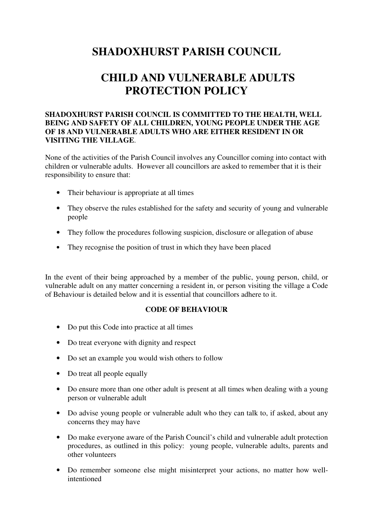## **SHADOXHURST PARISH COUNCIL**

# **CHILD AND VULNERABLE ADULTS PROTECTION POLICY**

### **SHADOXHURST PARISH COUNCIL IS COMMITTED TO THE HEALTH, WELL BEING AND SAFETY OF ALL CHILDREN, YOUNG PEOPLE UNDER THE AGE OF 18 AND VULNERABLE ADULTS WHO ARE EITHER RESIDENT IN OR VISITING THE VILLAGE**.

None of the activities of the Parish Council involves any Councillor coming into contact with children or vulnerable adults. However all councillors are asked to remember that it is their responsibility to ensure that:

- Their behaviour is appropriate at all times
- They observe the rules established for the safety and security of young and vulnerable people
- They follow the procedures following suspicion, disclosure or allegation of abuse
- They recognise the position of trust in which they have been placed

In the event of their being approached by a member of the public, young person, child, or vulnerable adult on any matter concerning a resident in, or person visiting the village a Code of Behaviour is detailed below and it is essential that councillors adhere to it.

#### **CODE OF BEHAVIOUR**

- Do put this Code into practice at all times
- Do treat everyone with dignity and respect
- Do set an example you would wish others to follow
- Do treat all people equally
- Do ensure more than one other adult is present at all times when dealing with a young person or vulnerable adult
- Do advise young people or vulnerable adult who they can talk to, if asked, about any concerns they may have
- Do make everyone aware of the Parish Council's child and vulnerable adult protection procedures, as outlined in this policy: young people, vulnerable adults, parents and other volunteers
- Do remember someone else might misinterpret your actions, no matter how wellintentioned